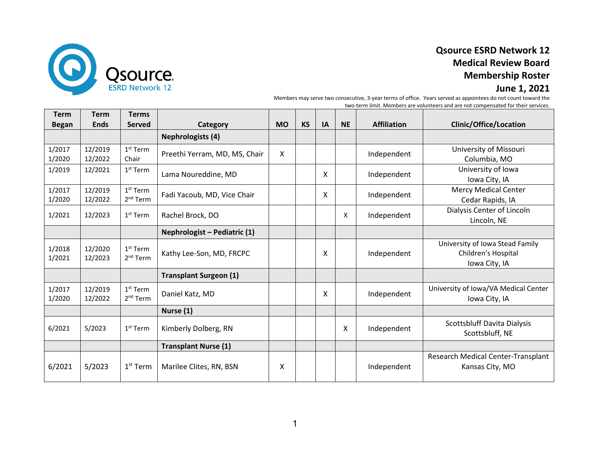

# **Qsource ESRD Network 12 Medical Review Board Membership Roster**

### **June 1, 2021**

Members may serve two consecutive, 3-year terms of office. Years served as appointees do not count toward the two-term limit. Members are volunteers and are not compensated for their services.

| <b>Term</b><br><b>Began</b> | <b>Term</b><br><b>Ends</b> | <b>Terms</b><br><b>Served</b>      | Category                      | <b>MO</b> | <b>KS</b> | IA | <b>NE</b> | <b>Affiliation</b> | <b>Clinic/Office/Location</b>                                           |
|-----------------------------|----------------------------|------------------------------------|-------------------------------|-----------|-----------|----|-----------|--------------------|-------------------------------------------------------------------------|
|                             |                            |                                    | <b>Nephrologists (4)</b>      |           |           |    |           |                    |                                                                         |
| 1/2017<br>1/2020            | 12/2019<br>12/2022         | $1st$ Term<br>Chair                | Preethi Yerram, MD, MS, Chair | X         |           |    |           | Independent        | University of Missouri<br>Columbia, MO                                  |
| 1/2019                      | 12/2021                    | $1st$ Term                         | Lama Noureddine, MD           |           |           | X  |           | Independent        | University of Iowa<br>Iowa City, IA                                     |
| 1/2017<br>1/2020            | 12/2019<br>12/2022         | $1st$ Term<br>2 <sup>nd</sup> Term | Fadi Yacoub, MD, Vice Chair   |           |           | X  |           | Independent        | <b>Mercy Medical Center</b><br>Cedar Rapids, IA                         |
| 1/2021                      | 12/2023                    | $1st$ Term                         | Rachel Brock, DO              |           |           |    | X         | Independent        | Dialysis Center of Lincoln<br>Lincoln, NE                               |
|                             |                            |                                    | Nephrologist - Pediatric (1)  |           |           |    |           |                    |                                                                         |
| 1/2018<br>1/2021            | 12/2020<br>12/2023         | $1st$ Term<br>2 <sup>nd</sup> Term | Kathy Lee-Son, MD, FRCPC      |           |           | X  |           | Independent        | University of Iowa Stead Family<br>Children's Hospital<br>Iowa City, IA |
|                             |                            |                                    | <b>Transplant Surgeon (1)</b> |           |           |    |           |                    |                                                                         |
| 1/2017<br>1/2020            | 12/2019<br>12/2022         | $1st$ Term<br>2 <sup>nd</sup> Term | Daniel Katz, MD               |           |           | X  |           | Independent        | University of Iowa/VA Medical Center<br>Iowa City, IA                   |
|                             |                            |                                    | Nurse (1)                     |           |           |    |           |                    |                                                                         |
| 6/2021                      | 5/2023                     | 1 <sup>st</sup> Term               | Kimberly Dolberg, RN          |           |           |    | X         | Independent        | Scottsbluff Davita Dialysis<br>Scottsbluff, NE                          |
|                             |                            |                                    | <b>Transplant Nurse (1)</b>   |           |           |    |           |                    |                                                                         |
| 6/2021                      | 5/2023                     | $1st$ Term                         | Marilee Clites, RN, BSN       | X         |           |    |           | Independent        | Research Medical Center-Transplant<br>Kansas City, MO                   |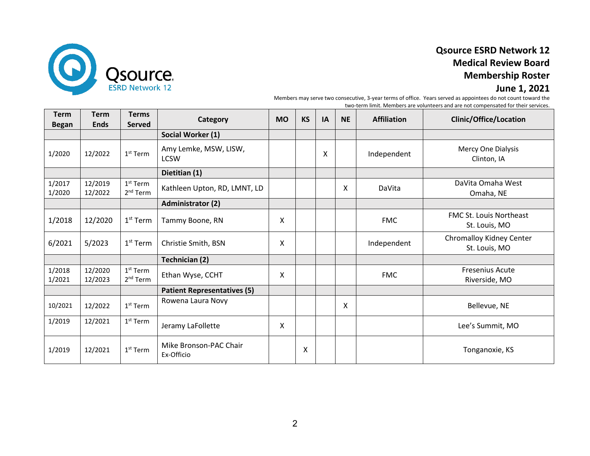

# **Qsource ESRD Network 12 Medical Review Board Membership Roster**

### **June 1, 2021**

Members may serve two consecutive, 3-year terms of office. Years served as appointees do not count toward the two-term limit. Members are volunteers and are not compensated for their services.

| <b>Term</b><br><b>Began</b> | <b>Term</b><br><b>Ends</b> | <b>Terms</b><br><b>Served</b>                | Category                             | <b>MO</b> | <b>KS</b> | IA | <b>NE</b> | <b>Affiliation</b> | <b>Clinic/Office/Location</b>                   |
|-----------------------------|----------------------------|----------------------------------------------|--------------------------------------|-----------|-----------|----|-----------|--------------------|-------------------------------------------------|
|                             |                            |                                              | Social Worker (1)                    |           |           |    |           |                    |                                                 |
| 1/2020                      | 12/2022                    | $1st$ Term                                   | Amy Lemke, MSW, LISW,<br><b>LCSW</b> |           |           | X  |           | Independent        | Mercy One Dialysis<br>Clinton, IA               |
|                             |                            |                                              | Dietitian (1)                        |           |           |    |           |                    |                                                 |
| 1/2017<br>1/2020            | 12/2019<br>12/2022         | 1 <sup>st</sup> Term<br>2 <sup>nd</sup> Term | Kathleen Upton, RD, LMNT, LD         |           |           |    | X         | DaVita             | DaVita Omaha West<br>Omaha, NE                  |
|                             |                            |                                              | <b>Administrator (2)</b>             |           |           |    |           |                    |                                                 |
| 1/2018                      | 12/2020                    | $1st$ Term                                   | Tammy Boone, RN                      | X         |           |    |           | <b>FMC</b>         | <b>FMC St. Louis Northeast</b><br>St. Louis, MO |
| 6/2021                      | 5/2023                     | $1st$ Term                                   | Christie Smith, BSN                  | Χ         |           |    |           | Independent        | Chromalloy Kidney Center<br>St. Louis, MO       |
|                             |                            |                                              | <b>Technician (2)</b>                |           |           |    |           |                    |                                                 |
| 1/2018<br>1/2021            | 12/2020<br>12/2023         | $1st$ Term<br>2 <sup>nd</sup> Term           | Ethan Wyse, CCHT                     | X         |           |    |           | <b>FMC</b>         | <b>Fresenius Acute</b><br>Riverside, MO         |
|                             |                            |                                              | <b>Patient Representatives (5)</b>   |           |           |    |           |                    |                                                 |
| 10/2021                     | 12/2022                    | $1st$ Term                                   | Rowena Laura Novy                    |           |           |    | Χ         |                    | Bellevue, NE                                    |
| 1/2019                      | 12/2021                    | $1st$ Term                                   | Jeramy LaFollette                    | X         |           |    |           |                    | Lee's Summit, MO                                |
| 1/2019                      | 12/2021                    | $1st$ Term                                   | Mike Bronson-PAC Chair<br>Ex-Officio |           | X         |    |           |                    | Tonganoxie, KS                                  |